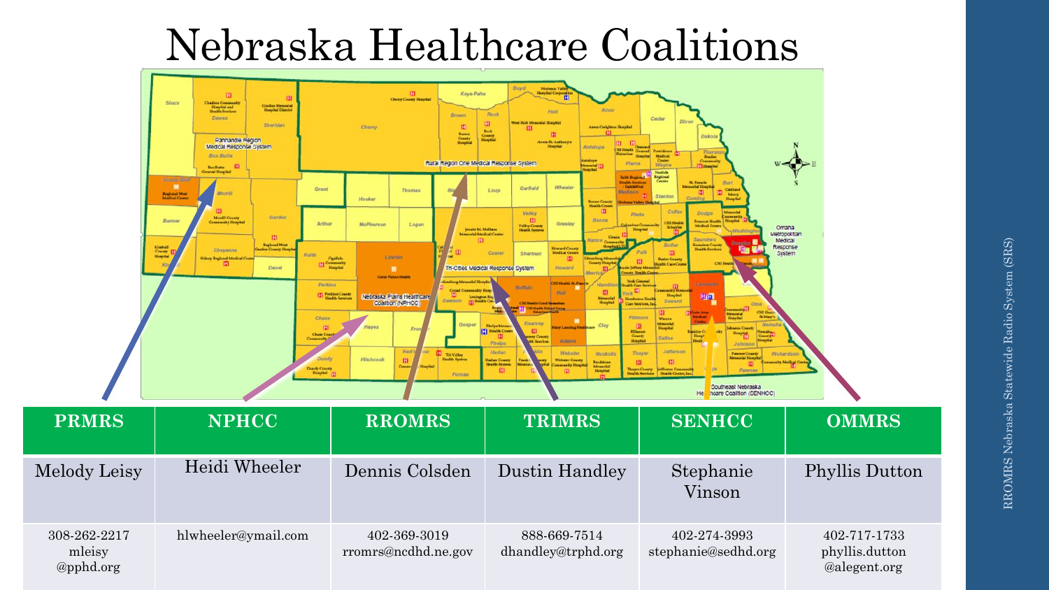## Nebraska Healthcare Coalitions

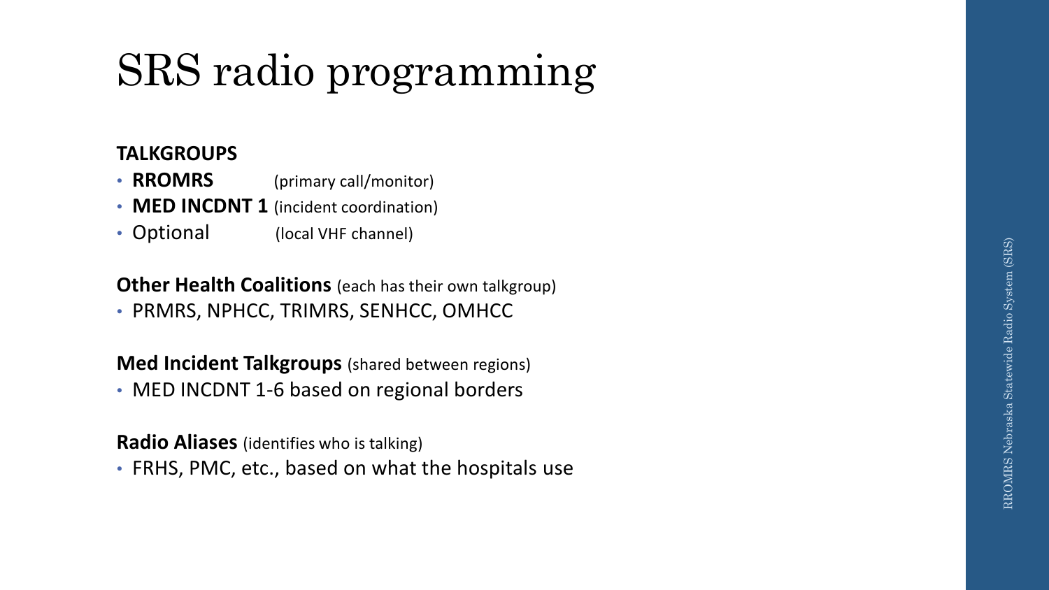# SRS radio programming

### **TALKGROUPS**

- **RROMRS** (primary call/monitor)
- **MED INCDNT 1**  (incident coordination)
- Optional (local VHF channel)

### **Other Health Coalitions** (each has their own talkgroup)

• PRMRS, NPHCC, TRIMRS, SENHCC, OMHCC

### **Med Incident Talkgroups** (shared between regions)

• MED INCDNT 1-6 based on regional borders

#### **Radio Aliases** (identifies who is talking)

• FRHS, PMC, etc., based on what the hospitals use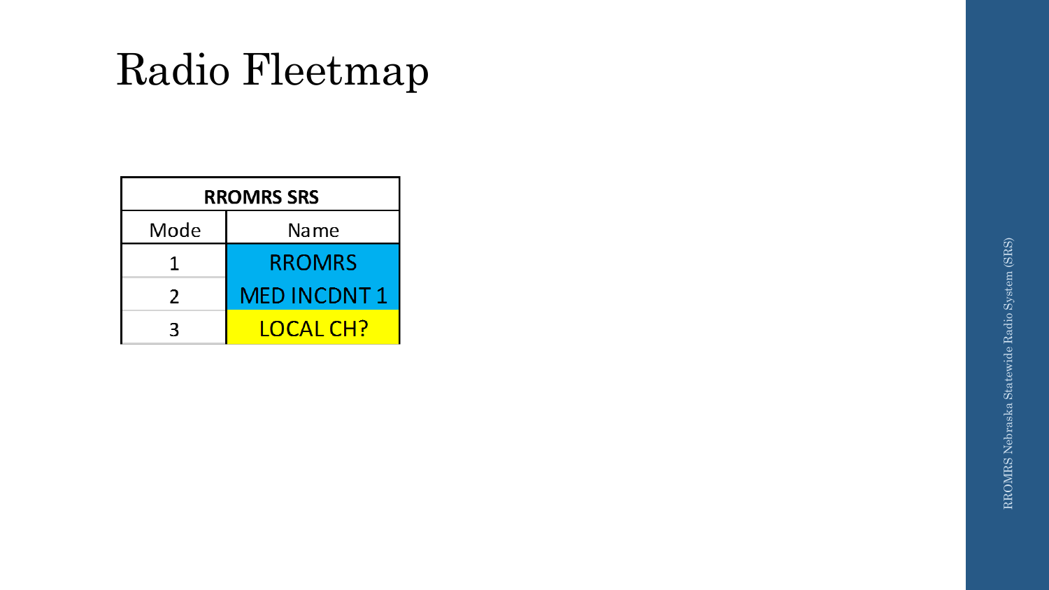# Radio Fleetmap

| <b>RROMRS SRS</b> |                    |
|-------------------|--------------------|
| Mode              | Name               |
| 1                 | <b>RROMRS</b>      |
| $\mathcal{P}$     | <b>MED INCDNT1</b> |
| ิว                | LOCAL CH?          |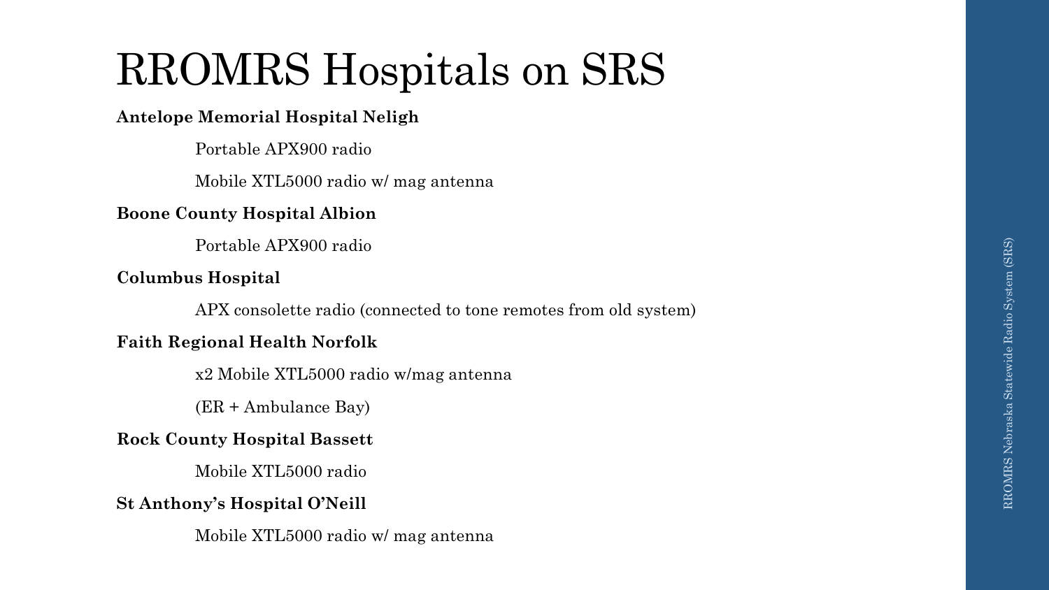# RROMRS Hospitals on SRS

#### **Antelope Memorial Hospital Neligh**

Portable APX900 radio

Mobile XTL5000 radio w/ mag antenna

#### **Boone County Hospital Albion**

Portable APX900 radio

#### **Columbus Hospital**

APX consolette radio (connected to tone remotes from old system)

#### **Faith Regional Health Norfolk**

x2 Mobile XTL5000 radio w/mag antenna

(ER + Ambulance Bay)

#### **Rock County Hospital Bassett**

Mobile XTL5000 radio

#### **St Anthony's Hospital O'Neill**

Mobile XTL5000 radio w/ mag antenna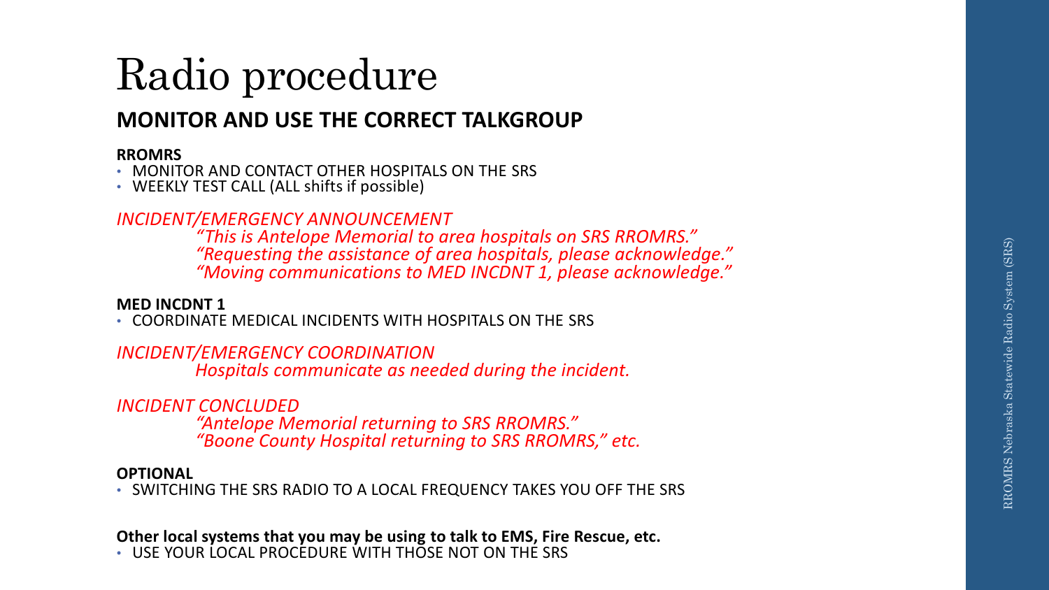## Radio procedure

### **MONITOR AND USE THE CORRECT TALKGROUP**

**RROMRS** • MONITOR AND CONTACT OTHER HOSPITALS ON THE SRS • WEEKLY TEST CALL (ALL shifts if possible)

### *INCIDENT/EMERGENCY ANNOUNCEMENT*

*"This is Antelope Memorial to area hospitals on SRS RROMRS." "Requesting the assistance of area hospitals, please acknowledge." "Moving communications to MED INCDNT 1, please acknowledge."* 

**MED INCDNT 1** • COORDINATE MEDICAL INCIDENTS WITH HOSPITALS ON THE SRS

#### *INCIDENT/EMERGENCY COORDINATION*

*Hospitals communicate as needed during the incident.*

#### *INCIDENT CONCLUDED*

*"Antelope Memorial returning to SRS RROMRS." "Boone County Hospital returning to SRS RROMRS," etc.*

#### **OPTIONAL**

• SWITCHING THE SRS RADIO TO A LOCAL FREQUENCY TAKES YOU OFF THE SRS

#### **Other local systems that you may be using to talk to EMS, Fire Rescue, etc .** • USE YOUR LOCAL PROCEDURE WITH THOSE NOT ON THE SRS